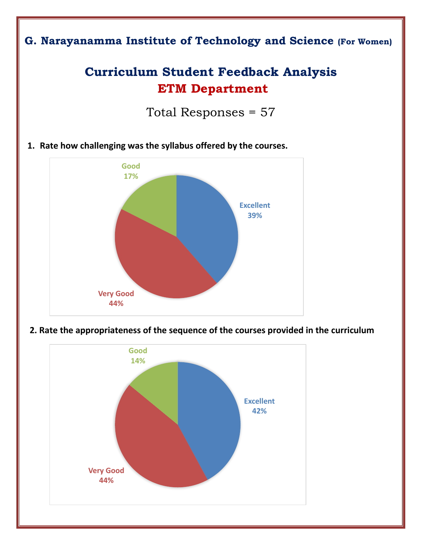## **G. Narayanamma Institute of Technology and Science (For Women)**

# **Curriculum Student Feedback Analysis ETM Department**

Total Responses = 57

**1. Rate how challenging was the syllabus offered by the courses.** 



**2. Rate the appropriateness of the sequence of the courses provided in the curriculum**

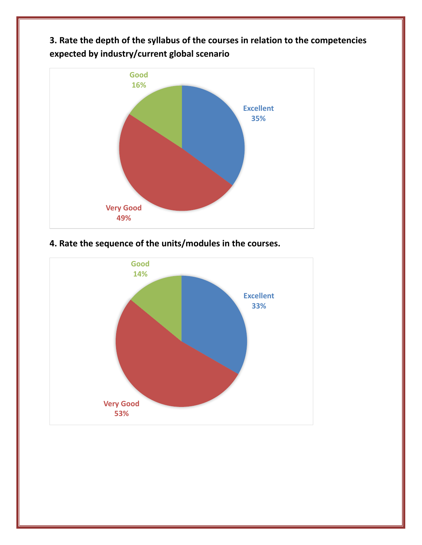**3. Rate the depth of the syllabus of the courses in relation to the competencies expected by industry/current global scenario**



### **4. Rate the sequence of the units/modules in the courses.**

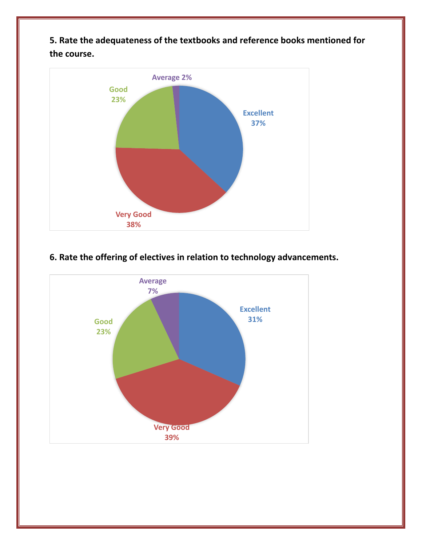**5. Rate the adequateness of the textbooks and reference books mentioned for the course.**



#### **6. Rate the offering of electives in relation to technology advancements.**

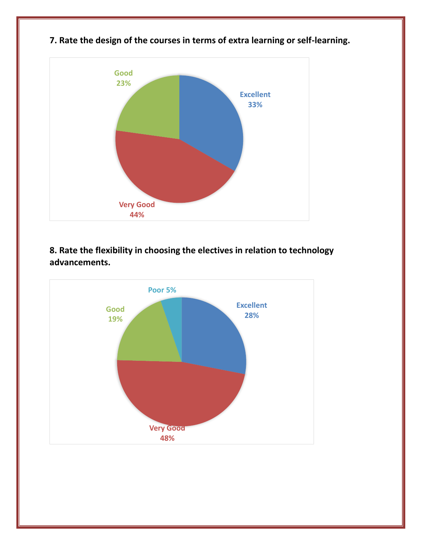

**7. Rate the design of the courses in terms of extra learning or self-learning.**

**8. Rate the flexibility in choosing the electives in relation to technology advancements.**